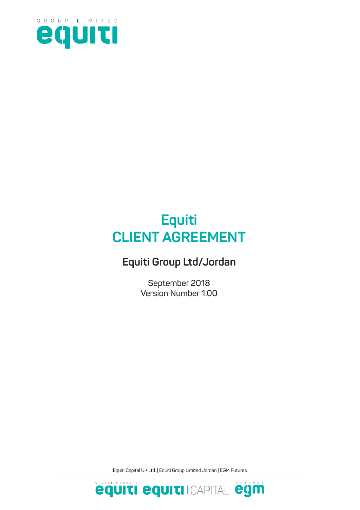

# **Equiti CLIENT AGREEMENT**

## **Equiti Group Ltd/Jordan**

**September 2018 Version Number 1.00**

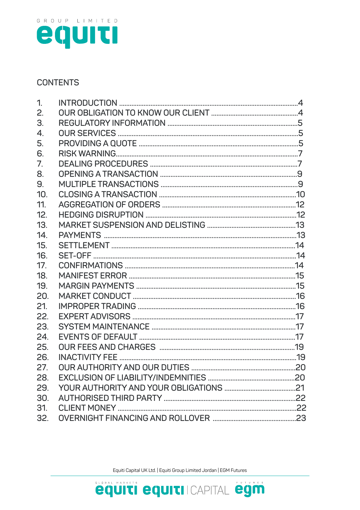

#### **CONTENTS**

| 1.  |  |
|-----|--|
| 2.  |  |
| 3.  |  |
| 4.  |  |
| 5.  |  |
| 6.  |  |
| 7.  |  |
| 8.  |  |
| 9.  |  |
| 10. |  |
| 11. |  |
| 12. |  |
| 13. |  |
| 14. |  |
| 15. |  |
| 16. |  |
| 17. |  |
| 18. |  |
| 19. |  |
| 20. |  |
| 21. |  |
| 22. |  |
| 23. |  |
| 24. |  |
| 25. |  |
| 26. |  |
| 27. |  |
| 28. |  |
| 29. |  |
| 30. |  |
| 31. |  |
| 32. |  |

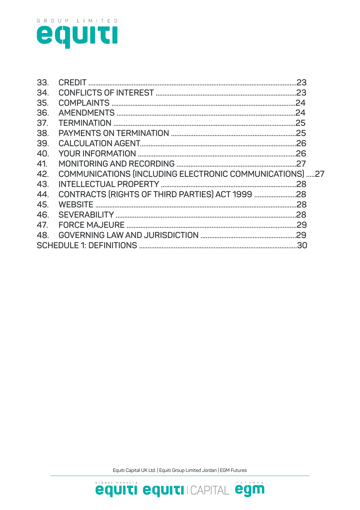

| COMMUNICATIONS (INCLUDING ELECTRONIC COMMUNICATIONS) 27 |  |  |  |
|---------------------------------------------------------|--|--|--|
|                                                         |  |  |  |
|                                                         |  |  |  |
|                                                         |  |  |  |
|                                                         |  |  |  |
|                                                         |  |  |  |
|                                                         |  |  |  |
|                                                         |  |  |  |
|                                                         |  |  |  |

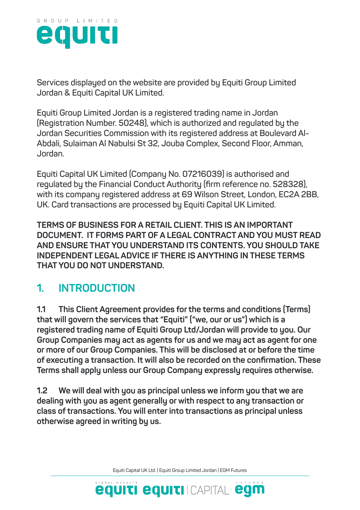

**Services displayed on the website are provided by Equiti Group Limited Jordan & Equiti Capital UK Limited.**

**Equiti Group Limited Jordan is a registered trading name in Jordan (Registration Number. 50248), which is authorized and regulated by the Jordan Securities Commission with its registered address at Boulevard Al-Abdali, Sulaiman Al Nabulsi St 32, Jouba Complex, Second Floor, Amman, Jordan.**

**Equiti Capital UK Limited (Company No. 07216039) is authorised and regulated by the Financial Conduct Authority (firm reference no. 528328), with its company registered address at 69 Wilson Street, London, EC2A 2BB, UK. Card transactions are processed by Equiti Capital UK Limited.**

**TERMS OF BUSINESS FOR A RETAIL CLIENT. THIS IS AN IMPORTANT DOCUMENT. IT FORMS PART OF A LEGAL CONTRACT AND YOU MUST READ AND ENSURE THAT YOU UNDERSTAND ITS CONTENTS. YOU SHOULD TAKE INDEPENDENT LEGAL ADVICE IF THERE IS ANYTHING IN THESE TERMS THAT YOU DO NOT UNDERSTAND.**

## **1. INTRODUCTION**

**1.1 This Client Agreement provides for the terms and conditions (Terms) that will govern the services that "Equiti" ("we, our or us") which is a registered trading name of Equiti Group Ltd/Jordan will provide to you. Our Group Companies may act as agents for us and we may act as agent for one or more of our Group Companies. This will be disclosed at or before the time of executing a transaction. It will also be recorded on the confirmation. These Terms shall apply unless our Group Company expressly requires otherwise.**

**1.2 We will deal with you as principal unless we inform you that we are dealing with you as agent generally or with respect to any transaction or class of transactions. You will enter into transactions as principal unless otherwise agreed in writing by us.**

Equiti Capital UK Ltd. | Equiti Group Limited Jordan | EGM Futures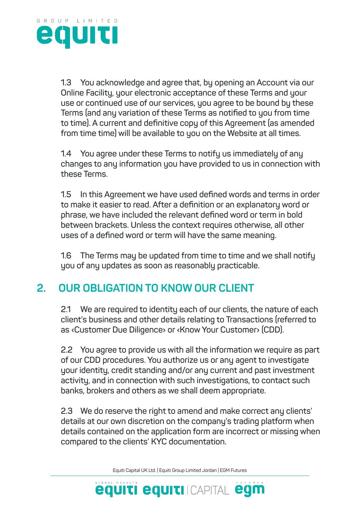

**1.3 You acknowledge and agree that, by opening an Account via our Online Facility, your electronic acceptance of these Terms and your use or continued use of our services, you agree to be bound by these Terms (and any variation of these Terms as notified to you from time to time). A current and definitive copy of this Agreement (as amended from time time) will be available to you on the Website at all times.**

**1.4 You agree under these Terms to notify us immediately of any changes to any information you have provided to us in connection with these Terms.**

**1.5 In this Agreement we have used defined words and terms in order to make it easier to read. After a definition or an explanatory word or phrase, we have included the relevant defined word or term in bold between brackets. Unless the context requires otherwise, all other uses of a defined word or term will have the same meaning.**

**1.6 The Terms may be updated from time to time and we shall notify you of any updates as soon as reasonably practicable.**

## **2. OUR OBLIGATION TO KNOW OUR CLIENT**

**2.1 We are required to identity each of our clients, the nature of each client's business and other details relating to Transactions (referred to as ‹Customer Due Diligence› or ‹Know Your Customer› (CDD).**

**2.2 You agree to provide us with all the information we require as part of our CDD procedures. You authorize us or any agent to investigate your identity, credit standing and/or any current and past investment activity, and in connection with such investigations, to contact such banks, brokers and others as we shall deem appropriate.**

**2.3 We do reserve the right to amend and make correct any clients' details at our own discretion on the company's trading platform when details contained on the application form are incorrect or missing when compared to the clients' KYC documentation.**

Equiti Capital UK Ltd. | Equiti Group Limited Jordan | EGM Futures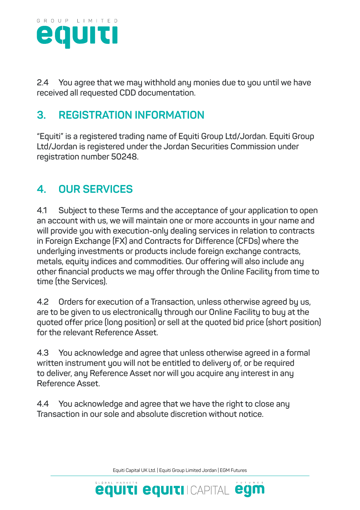

**2.4 You agree that we may withhold any monies due to you until we have received all requested CDD documentation.**

## **3. REGISTRATION INFORMATION**

**"Equiti" is a registered trading name of Equiti Group Ltd/Jordan. Equiti Group Ltd/Jordan is registered under the Jordan Securities Commission under registration number 50248.**

## **4. OUR SERVICES**

**4.1 Subject to these Terms and the acceptance of your application to open an account with us, we will maintain one or more accounts in your name and will provide you with execution-only dealing services in relation to contracts in Foreign Exchange (FX) and Contracts for Difference (CFDs) where the underlying investments or products include foreign exchange contracts, metals, equity indices and commodities. Our offering will also include any other financial products we may offer through the Online Facility from time to time (the Services).**

**4.2 Orders for execution of a Transaction, unless otherwise agreed by us, are to be given to us electronically through our Online Facility to buy at the quoted offer price (long position) or sell at the quoted bid price (short position) for the relevant Reference Asset.**

**4.3 You acknowledge and agree that unless otherwise agreed in a formal written instrument you will not be entitled to delivery of, or be required to deliver, any Reference Asset nor will you acquire any interest in any Reference Asset.**

**4.4 You acknowledge and agree that we have the right to close any Transaction in our sole and absolute discretion without notice.**

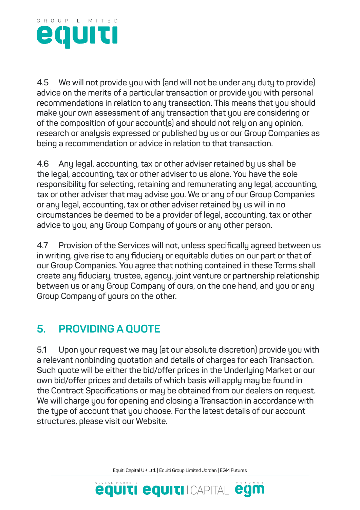

**4.5 We will not provide you with (and will not be under any duty to provide) advice on the merits of a particular transaction or provide you with personal recommendations in relation to any transaction. This means that you should make your own assessment of any transaction that you are considering or of the composition of your account(s) and should not rely on any opinion, research or analysis expressed or published by us or our Group Companies as being a recommendation or advice in relation to that transaction.**

**4.6 Any legal, accounting, tax or other adviser retained by us shall be the legal, accounting, tax or other adviser to us alone. You have the sole responsibility for selecting, retaining and remunerating any legal, accounting, tax or other adviser that may advise you. We or any of our Group Companies or any legal, accounting, tax or other adviser retained by us will in no circumstances be deemed to be a provider of legal, accounting, tax or other advice to you, any Group Company of yours or any other person.**

**4.7 Provision of the Services will not, unless specifically agreed between us in writing, give rise to any fiduciary or equitable duties on our part or that of our Group Companies. You agree that nothing contained in these Terms shall create any fiduciary, trustee, agency, joint venture or partnership relationship between us or any Group Company of ours, on the one hand, and you or any Group Company of yours on the other.**

## **5. PROVIDING A QUOTE**

**5.1 Upon your request we may (at our absolute discretion) provide you with a relevant nonbinding quotation and details of charges for each Transaction. Such quote will be either the bid/offer prices in the Underlying Market or our own bid/offer prices and details of which basis will apply may be found in the Contract Specifications or may be obtained from our dealers on request. We will charge you for opening and closing a Transaction in accordance with the type of account that you choose. For the latest details of our account structures, please visit our Website.**

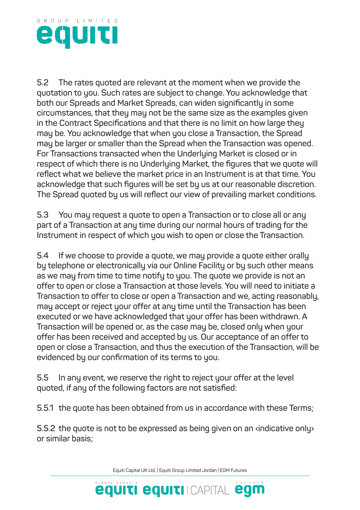

**5.2 The rates quoted are relevant at the moment when we provide the quotation to you. Such rates are subject to change. You acknowledge that both our Spreads and Market Spreads, can widen significantly in some circumstances, that they may not be the same size as the examples given in the Contract Specifications and that there is no limit on how large they may be. You acknowledge that when you close a Transaction, the Spread may be larger or smaller than the Spread when the Transaction was opened. For Transactions transacted when the Underlying Market is closed or in respect of which there is no Underlying Market, the figures that we quote will reflect what we believe the market price in an Instrument is at that time. You acknowledge that such figures will be set by us at our reasonable discretion. The Spread quoted by us will reflect our view of prevailing market conditions.**

**5.3 You may request a quote to open a Transaction or to close all or any part of a Transaction at any time during our normal hours of trading for the Instrument in respect of which you wish to open or close the Transaction.**

**5.4 If we choose to provide a quote, we may provide a quote either orally by telephone or electronically via our Online Facility or by such other means as we may from time to time notify to you. The quote we provide is not an offer to open or close a Transaction at those levels. You will need to initiate a Transaction to offer to close or open a Transaction and we, acting reasonably, may accept or reject your offer at any time until the Transaction has been executed or we have acknowledged that your offer has been withdrawn. A Transaction will be opened or, as the case may be, closed only when your offer has been received and accepted by us. Our acceptance of an offer to open or close a Transaction, and thus the execution of the Transaction, will be evidenced by our confirmation of its terms to you.**

**5.5 In any event, we reserve the right to reject your offer at the level quoted, if any of the following factors are not satisfied:**

**5.5.1 the quote has been obtained from us in accordance with these Terms;**

**5.5.2 the quote is not to be expressed as being given on an ‹indicative only› or similar basis;**

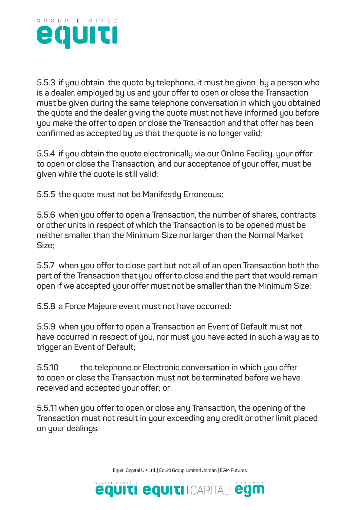

**5.5.3 if you obtain the quote by telephone, it must be given by a person who is a dealer, employed by us and your offer to open or close the Transaction must be given during the same telephone conversation in which you obtained the quote and the dealer giving the quote must not have informed you before you make the offer to open or close the Transaction and that offer has been confirmed as accepted by us that the quote is no longer valid;**

**5.5.4 if you obtain the quote electronically via our Online Facility, your offer to open or close the Transaction, and our acceptance of your offer, must be given while the quote is still valid;**

**5.5.5 the quote must not be Manifestly Erroneous;**

**5.5.6 when you offer to open a Transaction, the number of shares, contracts or other units in respect of which the Transaction is to be opened must be neither smaller than the Minimum Size nor larger than the Normal Market Size;**

**5.5.7 when you offer to close part but not all of an open Transaction both the part of the Transaction that you offer to close and the part that would remain open if we accepted your offer must not be smaller than the Minimum Size;**

**5.5.8 a Force Majeure event must not have occurred;**

**5.5.9 when you offer to open a Transaction an Event of Default must not have occurred in respect of you, nor must you have acted in such a way as to trigger an Event of Default;**

**5.5.10 the telephone or Electronic conversation in which you offer to open or close the Transaction must not be terminated before we have received and accepted your offer; or**

**5.5.11 when you offer to open or close any Transaction, the opening of the Transaction must not result in your exceeding any credit or other limit placed on your dealings.**

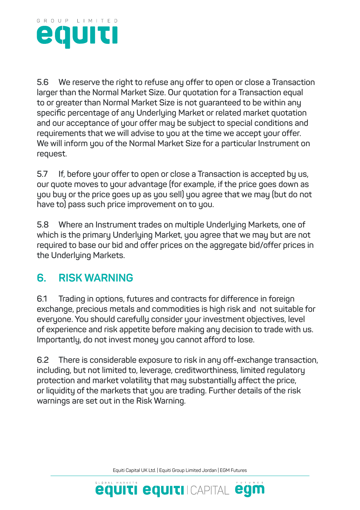

**5.6 We reserve the right to refuse any offer to open or close a Transaction larger than the Normal Market Size. Our quotation for a Transaction equal to or greater than Normal Market Size is not guaranteed to be within any specific percentage of any Underlying Market or related market quotation and our acceptance of your offer may be subject to special conditions and requirements that we will advise to you at the time we accept your offer. We will inform you of the Normal Market Size for a particular Instrument on request.**

**5.7 If, before your offer to open or close a Transaction is accepted by us, our quote moves to your advantage (for example, if the price goes down as you buy or the price goes up as you sell) you agree that we may (but do not have to) pass such price improvement on to you.**

**5.8 Where an Instrument trades on multiple Underlying Markets, one of which is the primary Underlying Market, you agree that we may but are not required to base our bid and offer prices on the aggregate bid/offer prices in the Underlying Markets.**

#### **6. RISK WARNING**

**6.1 Trading in options, futures and contracts for difference in foreign exchange, precious metals and commodities is high risk and not suitable for everyone. You should carefully consider your investment objectives, level of experience and risk appetite before making any decision to trade with us. Importantly, do not invest money you cannot afford to lose.**

**6.2 There is considerable exposure to risk in any off-exchange transaction, including, but not limited to, leverage, creditworthiness, limited regulatory protection and market volatility that may substantially affect the price, or liquidity of the markets that you are trading. Further details of the risk warnings are set out in the Risk Warning.**

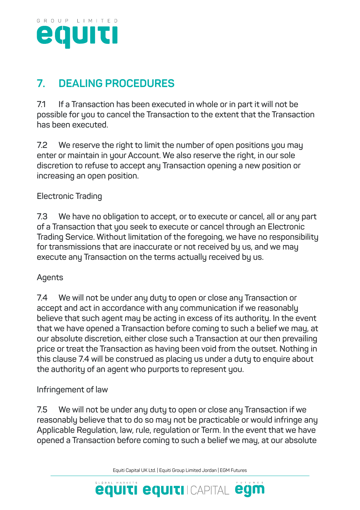

## **7. DEALING PROCEDURES**

**7.1 If a Transaction has been executed in whole or in part it will not be possible for you to cancel the Transaction to the extent that the Transaction has been executed.**

**7.2 We reserve the right to limit the number of open positions you may enter or maintain in your Account. We also reserve the right, in our sole discretion to refuse to accept any Transaction opening a new position or increasing an open position.**

#### **Electronic Trading**

**7.3 We have no obligation to accept, or to execute or cancel, all or any part of a Transaction that you seek to execute or cancel through an Electronic Trading Service. Without limitation of the foregoing, we have no responsibility for transmissions that are inaccurate or not received by us, and we may execute any Transaction on the terms actually received by us.**

#### **Agents**

**7.4 We will not be under any duty to open or close any Transaction or accept and act in accordance with any communication if we reasonably believe that such agent may be acting in excess of its authority. In the event that we have opened a Transaction before coming to such a belief we may, at our absolute discretion, either close such a Transaction at our then prevailing price or treat the Transaction as having been void from the outset. Nothing in this clause 7.4 will be construed as placing us under a duty to enquire about the authority of an agent who purports to represent you.**

#### **Infringement of law**

**7.5 We will not be under any duty to open or close any Transaction if we reasonably believe that to do so may not be practicable or would infringe any Applicable Regulation, law, rule, regulation or Term. In the event that we have opened a Transaction before coming to such a belief we may, at our absolute** 

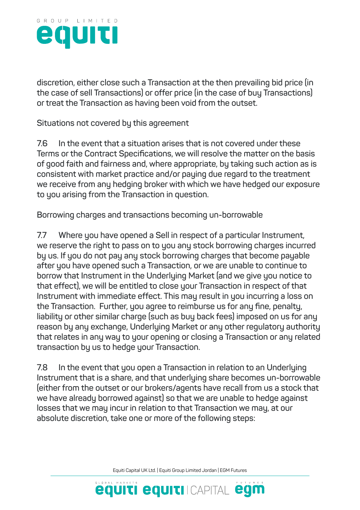

**discretion, either close such a Transaction at the then prevailing bid price (in the case of sell Transactions) or offer price (in the case of buy Transactions) or treat the Transaction as having been void from the outset.**

**Situations not covered by this agreement**

**7.6 In the event that a situation arises that is not covered under these Terms or the Contract Specifications, we will resolve the matter on the basis of good faith and fairness and, where appropriate, by taking such action as is consistent with market practice and/or paying due regard to the treatment we receive from any hedging broker with which we have hedged our exposure to you arising from the Transaction in question.**

**Borrowing charges and transactions becoming un-borrowable**

**7.7 Where you have opened a Sell in respect of a particular Instrument, we reserve the right to pass on to you any stock borrowing charges incurred by us. If you do not pay any stock borrowing charges that become payable after you have opened such a Transaction, or we are unable to continue to borrow that Instrument in the Underlying Market (and we give you notice to that effect), we will be entitled to close your Transaction in respect of that Instrument with immediate effect. This may result in you incurring a loss on the Transaction. Further, you agree to reimburse us for any fine, penalty, liability or other similar charge (such as buy back fees) imposed on us for any reason by any exchange, Underlying Market or any other regulatory authority that relates in any way to your opening or closing a Transaction or any related transaction by us to hedge your Transaction.**

**7.8 In the event that you open a Transaction in relation to an Underlying Instrument that is a share, and that underlying share becomes un-borrowable (either from the outset or our brokers/agents have recall from us a stock that we have already borrowed against) so that we are unable to hedge against losses that we may incur in relation to that Transaction we may, at our absolute discretion, take one or more of the following steps:**

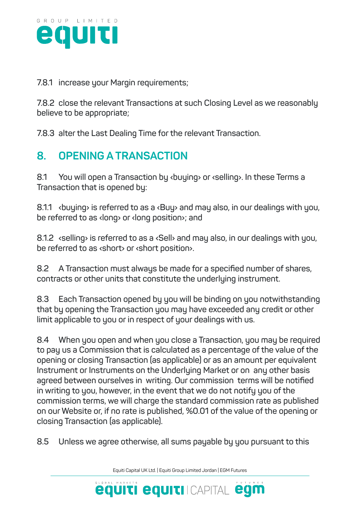

**7.8.1 increase your Margin requirements;**

**7.8.2 close the relevant Transactions at such Closing Level as we reasonably believe to be appropriate;**

**7.8.3 alter the Last Dealing Time for the relevant Transaction.**

## **8. OPENING A TRANSACTION**

**8.1 You will open a Transaction by ‹buying› or ‹selling›. In these Terms a Transaction that is opened by:**

**8.1.1 ‹buying› is referred to as a ‹Buy› and may also, in our dealings with you, be referred to as ‹long› or ‹long position›; and**

**8.1.2 ‹selling› is referred to as a ‹Sell› and may also, in our dealings with you, be referred to as ‹short› or ‹short position›.**

**8.2 A Transaction must always be made for a specified number of shares, contracts or other units that constitute the underlying instrument.**

**8.3 Each Transaction opened by you will be binding on you notwithstanding that by opening the Transaction you may have exceeded any credit or other limit applicable to you or in respect of your dealings with us.**

**8.4 When you open and when you close a Transaction, you may be required to pay us a Commission that is calculated as a percentage of the value of the opening or closing Transaction (as applicable) or as an amount per equivalent Instrument or Instruments on the Underlying Market or on any other basis agreed between ourselves in writing. Our commission terms will be notified in writing to you, however, in the event that we do not notify you of the commission terms, we will charge the standard commission rate as published on our Website or, if no rate is published, %0.01 of the value of the opening or closing Transaction (as applicable).**

**8.5 Unless we agree otherwise, all sums payable by you pursuant to this** 

Equiti Capital UK Ltd. | Equiti Group Limited Jordan | EGM Futures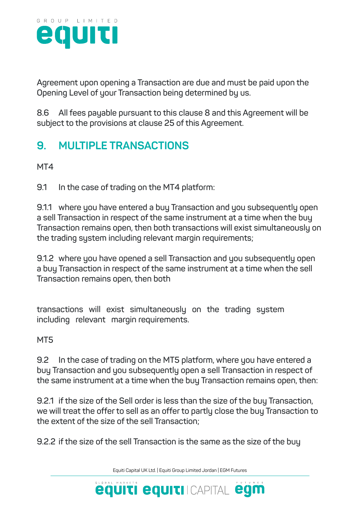

**Agreement upon opening a Transaction are due and must be paid upon the Opening Level of your Transaction being determined by us.**

**8.6 All fees payable pursuant to this clause 8 and this Agreement will be subject to the provisions at clause 25 of this Agreement.**

## **9. MULTIPLE TRANSACTIONS**

**MT4**

**9.1 In the case of trading on the MT4 platform:**

**9.1.1 where you have entered a buy Transaction and you subsequently open a sell Transaction in respect of the same instrument at a time when the buy Transaction remains open, then both transactions will exist simultaneously on the trading system including relevant margin requirements;**

**9.1.2 where you have opened a sell Transaction and you subsequently open a buy Transaction in respect of the same instrument at a time when the sell Transaction remains open, then both**

**transactions will exist simultaneously on the trading system including relevant margin requirements.**

**MT5**

**9.2 In the case of trading on the MT5 platform, where you have entered a buy Transaction and you subsequently open a sell Transaction in respect of the same instrument at a time when the buy Transaction remains open, then:**

**9.2.1 if the size of the Sell order is less than the size of the buy Transaction, we will treat the offer to sell as an offer to partly close the buy Transaction to the extent of the size of the sell Transaction;**

**9.2.2 if the size of the sell Transaction is the same as the size of the buy** 

Equiti Capital UK Ltd. | Equiti Group Limited Jordan | EGM Futures

**equiti equiti** Icapital egm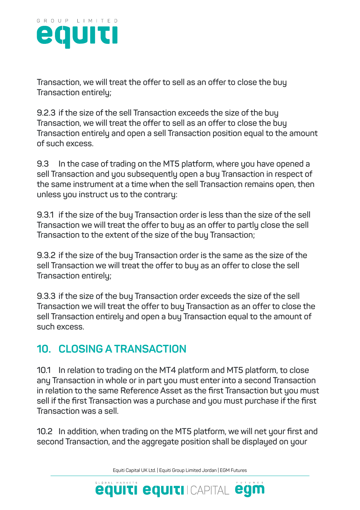

**Transaction, we will treat the offer to sell as an offer to close the buy Transaction entirely;**

**9.2.3 if the size of the sell Transaction exceeds the size of the buy Transaction, we will treat the offer to sell as an offer to close the buy Transaction entirely and open a sell Transaction position equal to the amount of such excess.**

**9.3 In the case of trading on the MT5 platform, where you have opened a sell Transaction and you subsequently open a buy Transaction in respect of the same instrument at a time when the sell Transaction remains open, then unless you instruct us to the contrary:**

**9.3.1 if the size of the buy Transaction order is less than the size of the sell Transaction we will treat the offer to buy as an offer to partly close the sell Transaction to the extent of the size of the buy Transaction;**

**9.3.2 if the size of the buy Transaction order is the same as the size of the sell Transaction we will treat the offer to buy as an offer to close the sell Transaction entirely;**

**9.3.3 if the size of the buy Transaction order exceeds the size of the sell Transaction we will treat the offer to buy Transaction as an offer to close the sell Transaction entirely and open a buy Transaction equal to the amount of such excess.**

### **10. CLOSING A TRANSACTION**

**10.1 In relation to trading on the MT4 platform and MT5 platform, to close any Transaction in whole or in part you must enter into a second Transaction in relation to the same Reference Asset as the first Transaction but you must sell if the first Transaction was a purchase and you must purchase if the first Transaction was a sell.**

**10.2 In addition, when trading on the MT5 platform, we will net your first and second Transaction, and the aggregate position shall be displayed on your** 

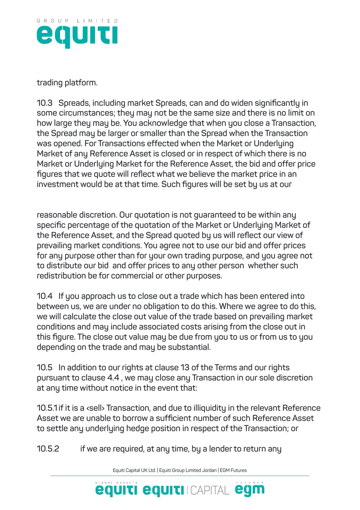

**trading platform.**

**10.3 Spreads, including market Spreads, can and do widen significantly in some circumstances; they may not be the same size and there is no limit on how large they may be. You acknowledge that when you close a Transaction, the Spread may be larger or smaller than the Spread when the Transaction was opened. For Transactions effected when the Market or Underlying Market of any Reference Asset is closed or in respect of which there is no Market or Underlying Market for the Reference Asset, the bid and offer price figures that we quote will reflect what we believe the market price in an investment would be at that time. Such figures will be set by us at our**

**reasonable discretion. Our quotation is not guaranteed to be within any specific percentage of the quotation of the Market or Underlying Market of the Reference Asset, and the Spread quoted by us will reflect our view of prevailing market conditions. You agree not to use our bid and offer prices for any purpose other than for your own trading purpose, and you agree not to distribute our bid and offer prices to any other person whether such redistribution be for commercial or other purposes.**

**10.4 If you approach us to close out a trade which has been entered into between us, we are under no obligation to do this. Where we agree to do this, we will calculate the close out value of the trade based on prevailing market conditions and may include associated costs arising from the close out in this figure. The close out value may be due from you to us or from us to you depending on the trade and may be substantial.**

**10.5 In addition to our rights at clause 13 of the Terms and our rights pursuant to clause 4.4 , we may close any Transaction in our sole discretion at any time without notice in the event that:**

**10.5.1 if it is a ‹sell› Transaction, and due to illiquidity in the relevant Reference Asset we are unable to borrow a sufficient number of such Reference Asset to settle any underlying hedge position in respect of the Transaction; or**

**10.5.2 if we are required, at any time, by a lender to return any** 

Equiti Capital UK Ltd. | Equiti Group Limited Jordan | EGM Futures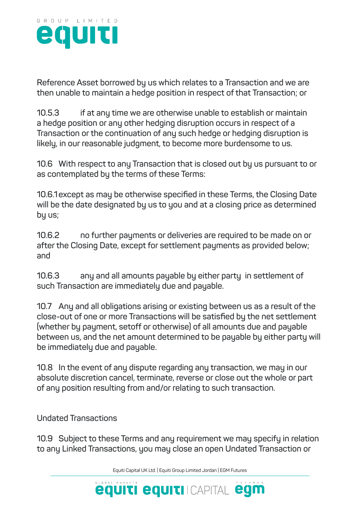

**Reference Asset borrowed by us which relates to a Transaction and we are then unable to maintain a hedge position in respect of that Transaction; or**

**10.5.3 if at any time we are otherwise unable to establish or maintain a hedge position or any other hedging disruption occurs in respect of a Transaction or the continuation of any such hedge or hedging disruption is likely, in our reasonable judgment, to become more burdensome to us.**

**10.6 With respect to any Transaction that is closed out by us pursuant to or as contemplated by the terms of these Terms:**

**10.6.1except as may be otherwise specified in these Terms, the Closing Date will be the date designated by us to you and at a closing price as determined by us;**

**10.6.2 no further payments or deliveries are required to be made on or after the Closing Date, except for settlement payments as provided below; and**

**10.6.3 any and all amounts payable by either party in settlement of such Transaction are immediately due and payable.**

**10.7 Any and all obligations arising or existing between us as a result of the close-out of one or more Transactions will be satisfied by the net settlement (whether by payment, setoff or otherwise) of all amounts due and payable between us, and the net amount determined to be payable by either party will be immediately due and payable.**

**10.8 In the event of any dispute regarding any transaction, we may in our absolute discretion cancel, terminate, reverse or close out the whole or part of any position resulting from and/or relating to such transaction.**

**Undated Transactions**

**10.9 Subject to these Terms and any requirement we may specify in relation to any Linked Transactions, you may close an open Undated Transaction or** 

Equiti Capital UK Ltd. | Equiti Group Limited Jordan | EGM Futures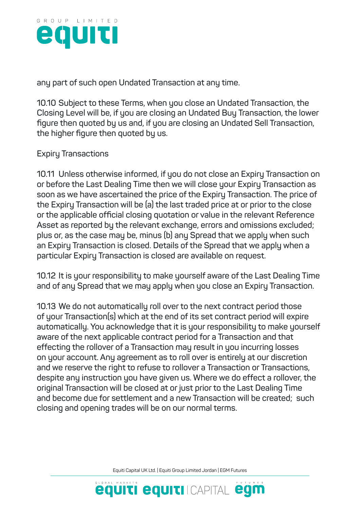

**any part of such open Undated Transaction at any time.**

**10.10 Subject to these Terms, when you close an Undated Transaction, the Closing Level will be, if you are closing an Undated Buy Transaction, the lower figure then quoted by us and, if you are closing an Undated Sell Transaction, the higher figure then quoted by us.**

#### **Expiry Transactions**

**10.11 Unless otherwise informed, if you do not close an Expiry Transaction on or before the Last Dealing Time then we will close your Expiry Transaction as soon as we have ascertained the price of the Expiry Transaction. The price of the Expiry Transaction will be (a) the last traded price at or prior to the close or the applicable official closing quotation or value in the relevant Reference Asset as reported by the relevant exchange, errors and omissions excluded; plus or, as the case may be, minus (b) any Spread that we apply when such an Expiry Transaction is closed. Details of the Spread that we apply when a particular Expiry Transaction is closed are available on request.**

**10.12 It is your responsibility to make yourself aware of the Last Dealing Time and of any Spread that we may apply when you close an Expiry Transaction.**

**10.13 We do not automatically roll over to the next contract period those of your Transaction(s) which at the end of its set contract period will expire automatically. You acknowledge that it is your responsibility to make yourself aware of the next applicable contract period for a Transaction and that effecting the rollover of a Transaction may result in you incurring losses on your account. Any agreement as to roll over is entirely at our discretion and we reserve the right to refuse to rollover a Transaction or Transactions, despite any instruction you have given us. Where we do effect a rollover, the original Transaction will be closed at or just prior to the Last Dealing Time and become due for settlement and a new Transaction will be created; such closing and opening trades will be on our normal terms.**

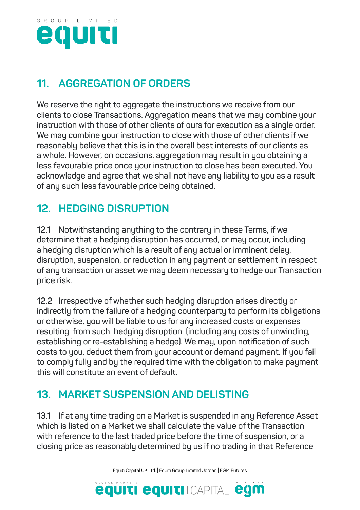

## **11. AGGREGATION OF ORDERS**

**We reserve the right to aggregate the instructions we receive from our clients to close Transactions. Aggregation means that we may combine your instruction with those of other clients of ours for execution as a single order. We may combine your instruction to close with those of other clients if we reasonably believe that this is in the overall best interests of our clients as a whole. However, on occasions, aggregation may result in you obtaining a less favourable price once your instruction to close has been executed. You acknowledge and agree that we shall not have any liability to you as a result of any such less favourable price being obtained.**

## **12. HEDGING DISRUPTION**

**12.1 Notwithstanding anything to the contrary in these Terms, if we determine that a hedging disruption has occurred, or may occur, including a hedging disruption which is a result of any actual or imminent delay, disruption, suspension, or reduction in any payment or settlement in respect of any transaction or asset we may deem necessary to hedge our Transaction price risk.**

**12.2 Irrespective of whether such hedging disruption arises directly or indirectly from the failure of a hedging counterparty to perform its obligations or otherwise, you will be liable to us for any increased costs or expenses resulting from such hedging disruption (including any costs of unwinding, establishing or re-establishing a hedge). We may, upon notification of such costs to you, deduct them from your account or demand payment. If you fail to comply fully and by the required time with the obligation to make payment this will constitute an event of default.**

## **13. MARKET SUSPENSION AND DELISTING**

**13.1 If at any time trading on a Market is suspended in any Reference Asset which is listed on a Market we shall calculate the value of the Transaction with reference to the last traded price before the time of suspension, or a closing price as reasonably determined by us if no trading in that Reference** 

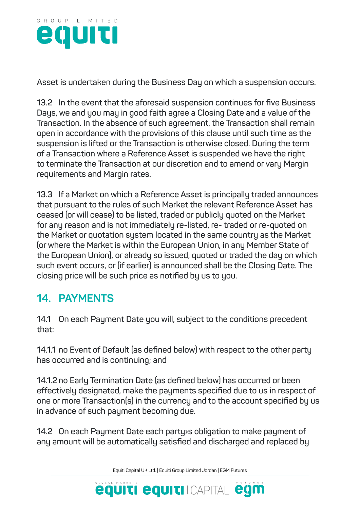

**Asset is undertaken during the Business Day on which a suspension occurs.**

**13.2 In the event that the aforesaid suspension continues for five Business Days, we and you may in good faith agree a Closing Date and a value of the Transaction. In the absence of such agreement, the Transaction shall remain open in accordance with the provisions of this clause until such time as the suspension is lifted or the Transaction is otherwise closed. During the term of a Transaction where a Reference Asset is suspended we have the right to terminate the Transaction at our discretion and to amend or vary Margin requirements and Margin rates.**

**13.3 If a Market on which a Reference Asset is principally traded announces that pursuant to the rules of such Market the relevant Reference Asset has ceased (or will cease) to be listed, traded or publicly quoted on the Market for any reason and is not immediately re-listed, re- traded or re-quoted on the Market or quotation system located in the same country as the Market (or where the Market is within the European Union, in any Member State of the European Union), or already so issued, quoted or traded the day on which such event occurs, or (if earlier) is announced shall be the Closing Date. The closing price will be such price as notified by us to you.**

## **14. PAYMENTS**

**14.1 On each Payment Date you will, subject to the conditions precedent that:**

**14.1.1 no Event of Default (as defined below) with respect to the other party has occurred and is continuing; and**

**14.1.2no Early Termination Date (as defined below) has occurred or been effectively designated, make the payments specified due to us in respect of one or more Transaction(s) in the currency and to the account specified by us in advance of such payment becoming due.**

**14.2 On each Payment Date each party›s obligation to make payment of any amount will be automatically satisfied and discharged and replaced by** 

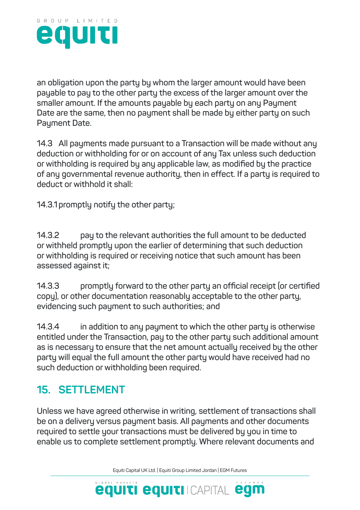

**an obligation upon the party by whom the larger amount would have been payable to pay to the other party the excess of the larger amount over the smaller amount. If the amounts payable by each party on any Payment Date are the same, then no payment shall be made by either party on such Payment Date.**

**14.3 All payments made pursuant to a Transaction will be made without any deduction or withholding for or on account of any Tax unless such deduction or withholding is required by any applicable law, as modified by the practice of any governmental revenue authority, then in effect. If a party is required to deduct or withhold it shall:**

**14.3.1promptly notify the other party;**

**14.3.2 pay to the relevant authorities the full amount to be deducted or withheld promptly upon the earlier of determining that such deduction or withholding is required or receiving notice that such amount has been assessed against it;**

**14.3.3 promptly forward to the other party an official receipt (or certified copy), or other documentation reasonably acceptable to the other party, evidencing such payment to such authorities; and**

**14.3.4 in addition to any payment to which the other party is otherwise entitled under the Transaction, pay to the other party such additional amount as is necessary to ensure that the net amount actually received by the other party will equal the full amount the other party would have received had no such deduction or withholding been required.**

## **15. SETTLEMENT**

**Unless we have agreed otherwise in writing, settlement of transactions shall be on a delivery versus payment basis. All payments and other documents required to settle your transactions must be delivered by you in time to enable us to complete settlement promptly. Where relevant documents and** 

Equiti Capital UK Ltd. | Equiti Group Limited Jordan | EGM Futures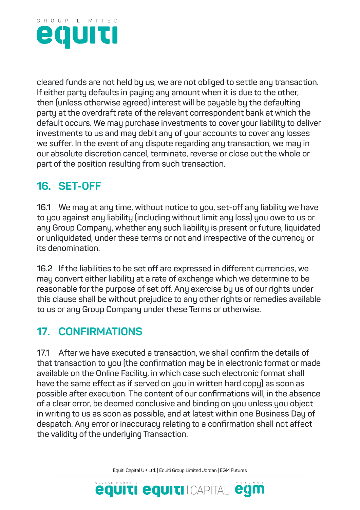

**cleared funds are not held by us, we are not obliged to settle any transaction. If either party defaults in paying any amount when it is due to the other, then (unless otherwise agreed) interest will be payable by the defaulting party at the overdraft rate of the relevant correspondent bank at which the default occurs. We may purchase investments to cover your liability to deliver investments to us and may debit any of your accounts to cover any losses we suffer. In the event of any dispute regarding any transaction, we may in our absolute discretion cancel, terminate, reverse or close out the whole or part of the position resulting from such transaction.**

## **16. SET-OFF**

**16.1 We may at any time, without notice to you, set-off any liability we have to you against any liability (including without limit any loss) you owe to us or any Group Company, whether any such liability is present or future, liquidated or unliquidated, under these terms or not and irrespective of the currency or its denomination.**

**16.2 If the liabilities to be set off are expressed in different currencies, we may convert either liability at a rate of exchange which we determine to be reasonable for the purpose of set off. Any exercise by us of our rights under this clause shall be without prejudice to any other rights or remedies available to us or any Group Company under these Terms or otherwise.**

## **17. CONFIRMATIONS**

**17.1 After we have executed a transaction, we shall confirm the details of that transaction to you (the confirmation may be in electronic format or made available on the Online Facility, in which case such electronic format shall have the same effect as if served on you in written hard copy) as soon as possible after execution. The content of our confirmations will, in the absence of a clear error, be deemed conclusive and binding on you unless you object in writing to us as soon as possible, and at latest within one Business Day of despatch. Any error or inaccuracy relating to a confirmation shall not affect the validity of the underlying Transaction.**

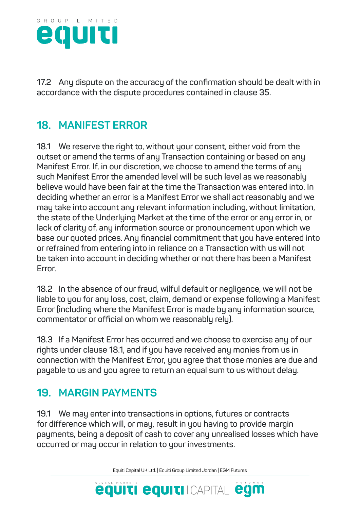

**17.2 Any dispute on the accuracy of the confirmation should be dealt with in accordance with the dispute procedures contained in clause 35.**

## **18. MANIFEST ERROR**

**18.1 We reserve the right to, without your consent, either void from the outset or amend the terms of any Transaction containing or based on any Manifest Error. If, in our discretion, we choose to amend the terms of any such Manifest Error the amended level will be such level as we reasonably believe would have been fair at the time the Transaction was entered into. In deciding whether an error is a Manifest Error we shall act reasonably and we may take into account any relevant information including, without limitation, the state of the Underlying Market at the time of the error or any error in, or lack of clarity of, any information source or pronouncement upon which we base our quoted prices. Any financial commitment that you have entered into or refrained from entering into in reliance on a Transaction with us will not be taken into account in deciding whether or not there has been a Manifest Error.**

**18.2 In the absence of our fraud, wilful default or negligence, we will not be liable to you for any loss, cost, claim, demand or expense following a Manifest Error (including where the Manifest Error is made by any information source, commentator or official on whom we reasonably rely).**

**18.3 If a Manifest Error has occurred and we choose to exercise any of our rights under clause 18.1, and if you have received any monies from us in connection with the Manifest Error, you agree that those monies are due and payable to us and you agree to return an equal sum to us without delay.**

### **19. MARGIN PAYMENTS**

**19.1 We may enter into transactions in options, futures or contracts for difference which will, or may, result in you having to provide margin payments, being a deposit of cash to cover any unrealised losses which have occurred or may occur in relation to your investments.**

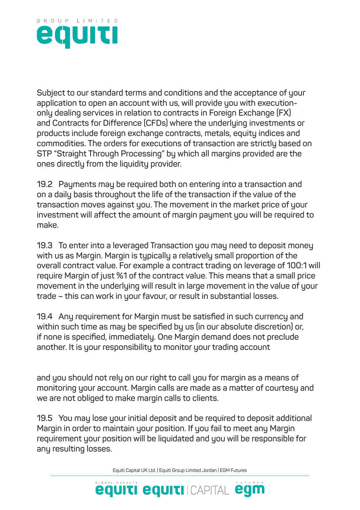

**Subject to our standard terms and conditions and the acceptance of your application to open an account with us, will provide you with executiononly dealing services in relation to contracts in Foreign Exchange (FX) and Contracts for Difference (CFDs) where the underlying investments or products include foreign exchange contracts, metals, equity indices and commodities. The orders for executions of transaction are strictly based on STP "Straight Through Processing" by which all margins provided are the ones directly from the liquidity provider.**

**19.2 Payments may be required both on entering into a transaction and on a daily basis throughout the life of the transaction if the value of the transaction moves against you. The movement in the market price of your investment will affect the amount of margin payment you will be required to make.**

**19.3 To enter into a leveraged Transaction you may need to deposit money with us as Margin. Margin is typically a relatively small proportion of the overall contract value. For example a contract trading on leverage of 100:1 will require Margin of just %1 of the contract value. This means that a small price movement in the underlying will result in large movement in the value of your trade – this can work in your favour, or result in substantial losses.**

**19.4 Any requirement for Margin must be satisfied in such currency and within such time as may be specified by us (in our absolute discretion) or, if none is specified, immediately. One Margin demand does not preclude another. It is your responsibility to monitor your trading account**

**and you should not rely on our right to call you for margin as a means of monitoring your account. Margin calls are made as a matter of courtesy and we are not obliged to make margin calls to clients.**

**19.5 You may lose your initial deposit and be required to deposit additional Margin in order to maintain your position. If you fail to meet any Margin requirement your position will be liquidated and you will be responsible for any resulting losses.**

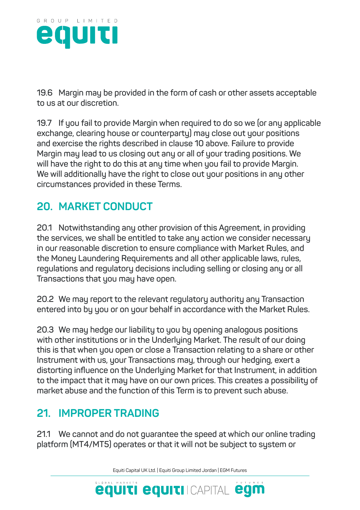

**19.6 Margin may be provided in the form of cash or other assets acceptable to us at our discretion.**

**19.7 If you fail to provide Margin when required to do so we (or any applicable exchange, clearing house or counterparty) may close out your positions and exercise the rights described in clause 10 above. Failure to provide Margin may lead to us closing out any or all of your trading positions. We will have the right to do this at any time when you fail to provide Margin. We will additionally have the right to close out your positions in any other circumstances provided in these Terms.**

## **20. MARKET CONDUCT**

**20.1 Notwithstanding any other provision of this Agreement, in providing the services, we shall be entitled to take any action we consider necessary in our reasonable discretion to ensure compliance with Market Rules, and the Money Laundering Requirements and all other applicable laws, rules, regulations and regulatory decisions including selling or closing any or all Transactions that you may have open.**

**20.2 We may report to the relevant regulatory authority any Transaction entered into by you or on your behalf in accordance with the Market Rules.**

**20.3 We may hedge our liability to you by opening analogous positions with other institutions or in the Underlying Market. The result of our doing this is that when you open or close a Transaction relating to a share or other Instrument with us, your Transactions may, through our hedging, exert a distorting influence on the Underlying Market for that Instrument, in addition to the impact that it may have on our own prices. This creates a possibility of market abuse and the function of this Term is to prevent such abuse.**

## **21. IMPROPER TRADING**

**21.1 We cannot and do not guarantee the speed at which our online trading platform (MT4/MT5) operates or that it will not be subject to system or** 

Equiti Capital UK Ltd. | Equiti Group Limited Jordan | EGM Futures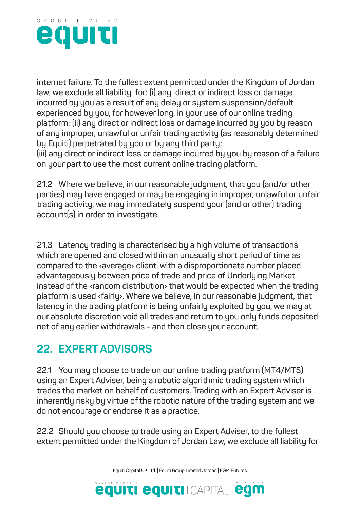

**internet failure. To the fullest extent permitted under the Kingdom of Jordan law, we exclude all liability for: (i) any direct or indirect loss or damage incurred by you as a result of any delay or system suspension/default experienced by you, for however long, in your use of our online trading platform; (ii) any direct or indirect loss or damage incurred by you by reason of any improper, unlawful or unfair trading activity (as reasonably determined by Equiti) perpetrated by you or by any third party;**

**(iii) any direct or indirect loss or damage incurred by you by reason of a failure on your part to use the most current online trading platform.**

**21.2 Where we believe, in our reasonable judgment, that you (and/or other parties) may have engaged or may be engaging in improper, unlawful or unfair trading activity, we may immediately suspend your (and or other) trading account(s) in order to investigate.**

**21.3 Latency trading is characterised by a high volume of transactions which are opened and closed within an unusually short period of time as compared to the ‹average› client, with a disproportionate number placed advantageously between price of trade and price of Underlying Market instead of the ‹random distribution› that would be expected when the trading platform is used ‹fairly›. Where we believe, in our reasonable judgment, that latency in the trading platform is being unfairly exploited by you, we may at our absolute discretion void all trades and return to you only funds deposited net of any earlier withdrawals - and then close your account.**

#### **22. EXPERT ADVISORS**

**22.1 You may choose to trade on our online trading platform (MT4/MT5) using an Expert Adviser, being a robotic algorithmic trading system which trades the market on behalf of customers. Trading with an Expert Adviser is inherently risky by virtue of the robotic nature of the trading system and we do not encourage or endorse it as a practice.**

**22.2 Should you choose to trade using an Expert Adviser, to the fullest extent permitted under the Kingdom of Jordan Law, we exclude all liability for** 

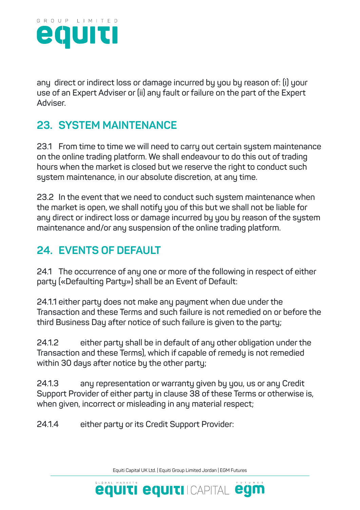

**any direct or indirect loss or damage incurred by you by reason of: (i) your use of an Expert Adviser or (ii) any fault or failure on the part of the Expert Adviser.**

## **23. SYSTEM MAINTENANCE**

**23.1 From time to time we will need to carry out certain system maintenance on the online trading platform. We shall endeavour to do this out of trading hours when the market is closed but we reserve the right to conduct such system maintenance, in our absolute discretion, at any time.**

**23.2 In the event that we need to conduct such system maintenance when the market is open, we shall notify you of this but we shall not be liable for any direct or indirect loss or damage incurred by you by reason of the system maintenance and/or any suspension of the online trading platform.**

## **24. EVENTS OF DEFAULT**

**24.1 The occurrence of any one or more of the following in respect of either party («Defaulting Party») shall be an Event of Default:**

**24.1.1 either party does not make any payment when due under the Transaction and these Terms and such failure is not remedied on or before the third Business Day after notice of such failure is given to the party;**

**24.1.2 either party shall be in default of any other obligation under the Transaction and these Terms), which if capable of remedy is not remedied within 30 days after notice by the other party;**

**24.1.3 any representation or warranty given by you, us or any Credit Support Provider of either party in clause 38 of these Terms or otherwise is, when given, incorrect or misleading in any material respect;**

**24.1.4 either party or its Credit Support Provider:**

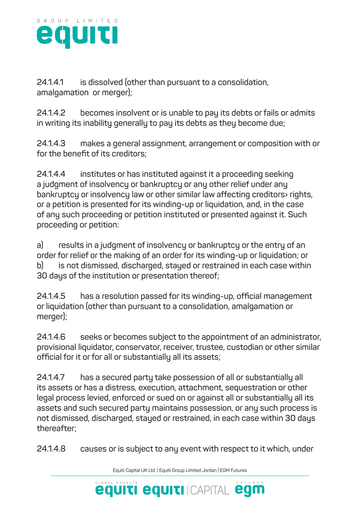

**24.1.4.1 is dissolved (other than pursuant to a consolidation, amalgamation or merger);**

**24.1.4.2 becomes insolvent or is unable to pay its debts or fails or admits in writing its inability generally to pay its debts as they become due;**

**24.1.4.3 makes a general assignment, arrangement or composition with or for the benefit of its creditors;**

**24.1.4.4 institutes or has instituted against it a proceeding seeking a judgment of insolvency or bankruptcy or any other relief under any bankruptcy or insolvency law or other similar law affecting creditors› rights, or a petition is presented for its winding-up or liquidation, and, in the case of any such proceeding or petition instituted or presented against it. Such proceeding or petition:**

**a) results in a judgment of insolvency or bankruptcy or the entry of an order for relief or the making of an order for its winding-up or liquidation; or b) is not dismissed, discharged, stayed or restrained in each case within 30 days of the institution or presentation thereof;**

**24.1.4.5 has a resolution passed for its winding-up, official management or liquidation (other than pursuant to a consolidation, amalgamation or merger);**

**24.1.4.6 seeks or becomes subject to the appointment of an administrator, provisional liquidator, conservator, receiver, trustee, custodian or other similar official for it or for all or substantially all its assets;**

**24.1.4.7 has a secured party take possession of all or substantially all its assets or has a distress, execution, attachment, sequestration or other legal process levied, enforced or sued on or against all or substantially all its assets and such secured party maintains possession, or any such process is not dismissed, discharged, stayed or restrained, in each case within 30 days thereafter;**

**24.1.4.8 causes or is subject to any event with respect to it which, under** 

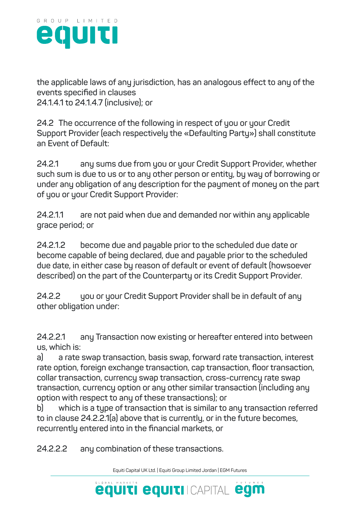

**the applicable laws of any jurisdiction, has an analogous effect to any of the events specified in clauses 24.1.4.1 to 24.1.4.7 (inclusive); or**

**24.2 The occurrence of the following in respect of you or your Credit Support Provider (each respectively the «Defaulting Party») shall constitute an Event of Default:**

**24.2.1 any sums due from you or your Credit Support Provider, whether such sum is due to us or to any other person or entity, by way of borrowing or under any obligation of any description for the payment of money on the part of you or your Credit Support Provider:**

**24.2.1.1 are not paid when due and demanded nor within any applicable grace period; or**

**24.2.1.2 become due and payable prior to the scheduled due date or become capable of being declared, due and payable prior to the scheduled due date, in either case by reason of default or event of default (howsoever described) on the part of the Counterparty or its Credit Support Provider.**

**24.2.2 you or your Credit Support Provider shall be in default of any other obligation under:**

**24.2.2.1 any Transaction now existing or hereafter entered into between us, which is:**

**a) a rate swap transaction, basis swap, forward rate transaction, interest rate option, foreign exchange transaction, cap transaction, floor transaction, collar transaction, currency swap transaction, cross-currency rate swap transaction, currency option or any other similar transaction (including any option with respect to any of these transactions); or**

**b) which is a type of transaction that is similar to any transaction referred to in clause 24.2.2.1(a) above that is currently, or in the future becomes, recurrently entered into in the financial markets, or**

**24.2.2.2 any combination of these transactions.**

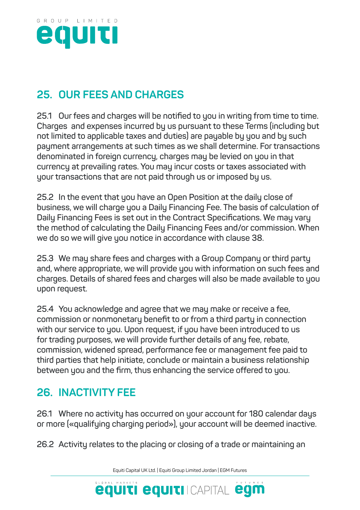

## **25. OUR FEES AND CHARGES**

**25.1 Our fees and charges will be notified to you in writing from time to time. Charges and expenses incurred by us pursuant to these Terms (including but not limited to applicable taxes and duties) are payable by you and by such payment arrangements at such times as we shall determine. For transactions denominated in foreign currency, charges may be levied on you in that currency at prevailing rates. You may incur costs or taxes associated with your transactions that are not paid through us or imposed by us.**

**25.2 In the event that you have an Open Position at the daily close of business, we will charge you a Daily Financing Fee. The basis of calculation of Daily Financing Fees is set out in the Contract Specifications. We may vary the method of calculating the Daily Financing Fees and/or commission. When we do so we will give you notice in accordance with clause 38.**

**25.3 We may share fees and charges with a Group Company or third party and, where appropriate, we will provide you with information on such fees and charges. Details of shared fees and charges will also be made available to you upon request.**

**25.4 You acknowledge and agree that we may make or receive a fee, commission or nonmonetary benefit to or from a third party in connection with our service to you. Upon request, if you have been introduced to us for trading purposes, we will provide further details of any fee, rebate, commission, widened spread, performance fee or management fee paid to third parties that help initiate, conclude or maintain a business relationship between you and the firm, thus enhancing the service offered to you.**

### **26. INACTIVITY FEE**

**26.1 Where no activity has occurred on your account for 180 calendar days or more («qualifying charging period»), your account will be deemed inactive.**

**26.2 Activity relates to the placing or closing of a trade or maintaining an** 

Equiti Capital UK Ltd. | Equiti Group Limited Jordan | EGM Futures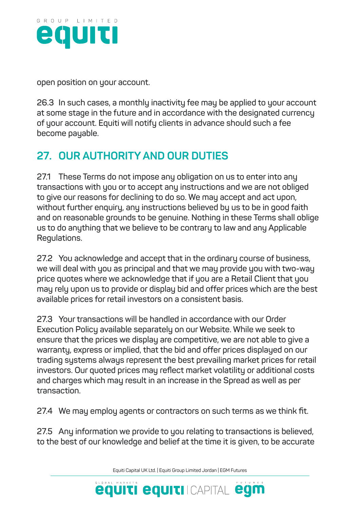

**open position on your account.**

**26.3 In such cases, a monthly inactivity fee may be applied to your account at some stage in the future and in accordance with the designated currency of your account. Equiti will notify clients in advance should such a fee become payable.**

## **27. OUR AUTHORITY AND OUR DUTIES**

**27.1 These Terms do not impose any obligation on us to enter into any transactions with you or to accept any instructions and we are not obliged to give our reasons for declining to do so. We may accept and act upon, without further enquiry, any instructions believed by us to be in good faith and on reasonable grounds to be genuine. Nothing in these Terms shall oblige us to do anything that we believe to be contrary to law and any Applicable Regulations.**

**27.2 You acknowledge and accept that in the ordinary course of business, we will deal with you as principal and that we may provide you with two-way price quotes where we acknowledge that if you are a Retail Client that you may rely upon us to provide or display bid and offer prices which are the best available prices for retail investors on a consistent basis.**

**27.3 Your transactions will be handled in accordance with our Order Execution Policy available separately on our Website. While we seek to ensure that the prices we display are competitive, we are not able to give a warranty, express or implied, that the bid and offer prices displayed on our trading systems always represent the best prevailing market prices for retail investors. Our quoted prices may reflect market volatility or additional costs and charges which may result in an increase in the Spread as well as per transaction.**

**27.4 We may employ agents or contractors on such terms as we think fit.**

**27.5 Any information we provide to you relating to transactions is believed, to the best of our knowledge and belief at the time it is given, to be accurate** 

Equiti Capital UK Ltd. | Equiti Group Limited Jordan | EGM Futures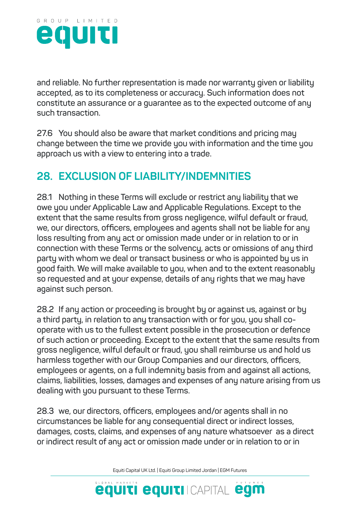

**and reliable. No further representation is made nor warranty given or liability accepted, as to its completeness or accuracy. Such information does not constitute an assurance or a guarantee as to the expected outcome of any such transaction.**

**27.6 You should also be aware that market conditions and pricing may change between the time we provide you with information and the time you approach us with a view to entering into a trade.**

#### **28. EXCLUSION OF LIABILITY/INDEMNITIES**

**28.1 Nothing in these Terms will exclude or restrict any liability that we owe you under Applicable Law and Applicable Regulations. Except to the extent that the same results from gross negligence, wilful default or fraud, we, our directors, officers, employees and agents shall not be liable for any loss resulting from any act or omission made under or in relation to or in connection with these Terms or the solvency, acts or omissions of any third party with whom we deal or transact business or who is appointed by us in good faith. We will make available to you, when and to the extent reasonably so requested and at your expense, details of any rights that we may have against such person.**

**28.2 If any action or proceeding is brought by or against us, against or by a third party, in relation to any transaction with or for you, you shall cooperate with us to the fullest extent possible in the prosecution or defence of such action or proceeding. Except to the extent that the same results from gross negligence, wilful default or fraud, you shall reimburse us and hold us harmless together with our Group Companies and our directors, officers, employees or agents, on a full indemnity basis from and against all actions, claims, liabilities, losses, damages and expenses of any nature arising from us dealing with you pursuant to these Terms.**

**28.3 we, our directors, officers, employees and/or agents shall in no circumstances be liable for any consequential direct or indirect losses, damages, costs, claims, and expenses of any nature whatsoever as a direct or indirect result of any act or omission made under or in relation to or in** 

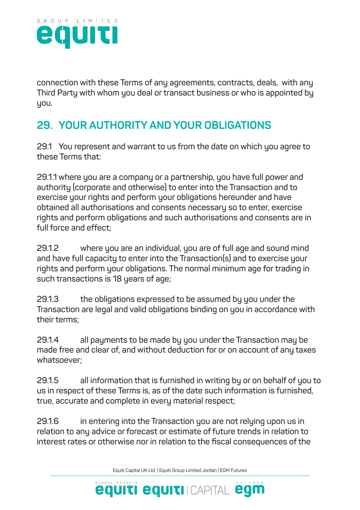

**connection with these Terms of any agreements, contracts, deals, with any Third Party with whom you deal or transact business or who is appointed by you.** 

## **29. YOUR AUTHORITY AND YOUR OBLIGATIONS**

**29.1 You represent and warrant to us from the date on which you agree to these Terms that:**

**29.1.1 where you are a company or a partnership, you have full power and authority (corporate and otherwise) to enter into the Transaction and to exercise your rights and perform your obligations hereunder and have obtained all authorisations and consents necessary so to enter, exercise rights and perform obligations and such authorisations and consents are in full force and effect;**

**29.1.2 where you are an individual, you are of full age and sound mind and have full capacity to enter into the Transaction(s) and to exercise your rights and perform your obligations. The normal minimum age for trading in such transactions is 18 years of age;**

**29.1.3 the obligations expressed to be assumed by you under the Transaction are legal and valid obligations binding on you in accordance with their terms;**

**29.1.4 all payments to be made by you under the Transaction may be made free and clear of, and without deduction for or on account of any taxes whatsoever;**

**29.1.5 all information that is furnished in writing by or on behalf of you to us in respect of these Terms is, as of the date such information is furnished, true, accurate and complete in every material respect;**

**29.1.6 in entering into the Transaction you are not relying upon us in relation to any advice or forecast or estimate of future trends in relation to interest rates or otherwise nor in relation to the fiscal consequences of the** 

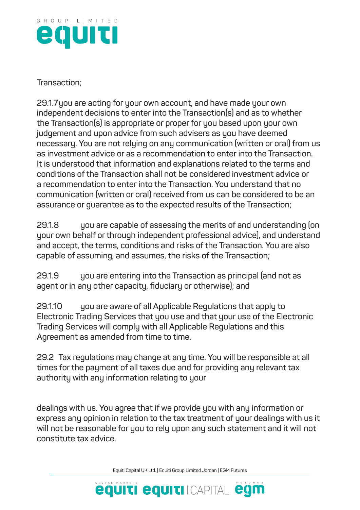

**Transaction;**

**29.1.7you are acting for your own account, and have made your own independent decisions to enter into the Transaction(s) and as to whether the Transaction(s) is appropriate or proper for you based upon your own judgement and upon advice from such advisers as you have deemed necessary. You are not relying on any communication (written or oral) from us as investment advice or as a recommendation to enter into the Transaction. It is understood that information and explanations related to the terms and conditions of the Transaction shall not be considered investment advice or a recommendation to enter into the Transaction. You understand that no communication (written or oral) received from us can be considered to be an assurance or guarantee as to the expected results of the Transaction;**

**29.1.8 you are capable of assessing the merits of and understanding (on your own behalf or through independent professional advice), and understand and accept, the terms, conditions and risks of the Transaction. You are also capable of assuming, and assumes, the risks of the Transaction;**

**29.1.9 you are entering into the Transaction as principal (and not as agent or in any other capacity, fiduciary or otherwise); and**

**29.1.10 you are aware of all Applicable Regulations that apply to Electronic Trading Services that you use and that your use of the Electronic Trading Services will comply with all Applicable Regulations and this Agreement as amended from time to time.**

**29.2 Tax regulations may change at any time. You will be responsible at all times for the payment of all taxes due and for providing any relevant tax authority with any information relating to your**

**dealings with us. You agree that if we provide you with any information or express any opinion in relation to the tax treatment of your dealings with us it will not be reasonable for you to rely upon any such statement and it will not constitute tax advice.**

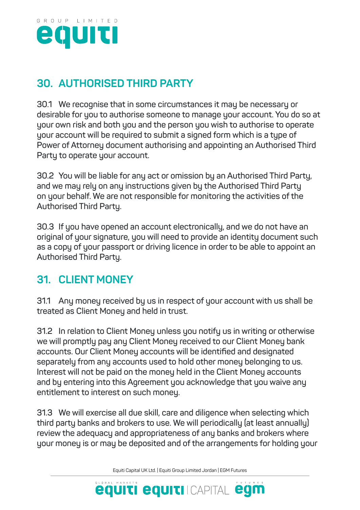

## **30. AUTHORISED THIRD PARTY**

**30.1 We recognise that in some circumstances it may be necessary or desirable for you to authorise someone to manage your account. You do so at your own risk and both you and the person you wish to authorise to operate your account will be required to submit a signed form which is a type of Power of Attorney document authorising and appointing an Authorised Third Party to operate your account.**

**30.2 You will be liable for any act or omission by an Authorised Third Party, and we may rely on any instructions given by the Authorised Third Party on your behalf. We are not responsible for monitoring the activities of the Authorised Third Party.**

**30.3 If you have opened an account electronically, and we do not have an original of your signature, you will need to provide an identity document such as a copy of your passport or driving licence in order to be able to appoint an Authorised Third Party.**

## **31. CLIENT MONEY**

**31.1 Any money received by us in respect of your account with us shall be treated as Client Money and held in trust.**

**31.2 In relation to Client Money unless you notify us in writing or otherwise we will promptly pay any Client Money received to our Client Money bank accounts. Our Client Money accounts will be identified and designated separately from any accounts used to hold other money belonging to us. Interest will not be paid on the money held in the Client Money accounts and by entering into this Agreement you acknowledge that you waive any entitlement to interest on such money.**

**31.3 We will exercise all due skill, care and diligence when selecting which third party banks and brokers to use. We will periodically (at least annually) review the adequacy and appropriateness of any banks and brokers where your money is or may be deposited and of the arrangements for holding your** 

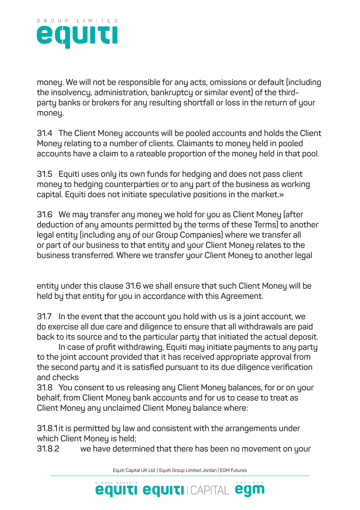

**money. We will not be responsible for any acts, omissions or default (including the insolvency, administration, bankruptcy or similar event) of the thirdparty banks or brokers for any resulting shortfall or loss in the return of your money.**

**31.4 The Client Money accounts will be pooled accounts and holds the Client Money relating to a number of clients. Claimants to money held in pooled accounts have a claim to a rateable proportion of the money held in that pool.**

**31.5 Equiti uses only its own funds for hedging and does not pass client money to hedging counterparties or to any part of the business as working capital. Equiti does not initiate speculative positions in the market.»**

**31.6 We may transfer any money we hold for you as Client Money (after deduction of any amounts permitted by the terms of these Terms) to another legal entity (including any of our Group Companies) where we transfer all or part of our business to that entity and your Client Money relates to the business transferred. Where we transfer your Client Money to another legal**

**entity under this clause 31.6 we shall ensure that such Client Money will be held by that entity for you in accordance with this Agreement.**

**31.7 In the event that the account you hold with us is a joint account, we do exercise all due care and diligence to ensure that all withdrawals are paid back to its source and to the particular party that initiated the actual deposit.** 

**In case of profit withdrawing, Equiti may initiate payments to any party to the joint account provided that it has received appropriate approval from the second party and it is satisfied pursuant to its due diligence verification and checks**

**31.8 You consent to us releasing any Client Money balances, for or on your behalf, from Client Money bank accounts and for us to cease to treat as Client Money any unclaimed Client Money balance where:**

**31.8.1 it is permitted by law and consistent with the arrangements under which Client Money is held;**

**31.8.2 we have determined that there has been no movement on your** 

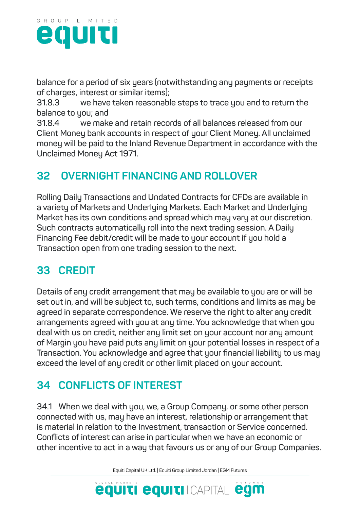

**balance for a period of six years (notwithstanding any payments or receipts of charges, interest or similar items);**

**31.8.3 we have taken reasonable steps to trace you and to return the balance to you; and**

**31.8.4 we make and retain records of all balances released from our Client Money bank accounts in respect of your Client Money. All unclaimed money will be paid to the Inland Revenue Department in accordance with the Unclaimed Money Act 1971.**

## **32 OVERNIGHT FINANCING AND ROLLOVER**

**Rolling Daily Transactions and Undated Contracts for CFDs are available in a variety of Markets and Underlying Markets. Each Market and Underlying Market has its own conditions and spread which may vary at our discretion. Such contracts automatically roll into the next trading session. A Daily Financing Fee debit/credit will be made to your account if you hold a Transaction open from one trading session to the next.**

## **33 CREDIT**

**Details of any credit arrangement that may be available to you are or will be set out in, and will be subject to, such terms, conditions and limits as may be agreed in separate correspondence. We reserve the right to alter any credit arrangements agreed with you at any time. You acknowledge that when you deal with us on credit, neither any limit set on your account nor any amount of Margin you have paid puts any limit on your potential losses in respect of a Transaction. You acknowledge and agree that your financial liability to us may exceed the level of any credit or other limit placed on your account.**

## **34 CONFLICTS OF INTEREST**

**34.1 When we deal with you, we, a Group Company, or some other person connected with us, may have an interest, relationship or arrangement that is material in relation to the Investment, transaction or Service concerned. Conflicts of interest can arise in particular when we have an economic or other incentive to act in a way that favours us or any of our Group Companies.**

Equiti Capital UK Ltd. | Equiti Group Limited Jordan | EGM Futures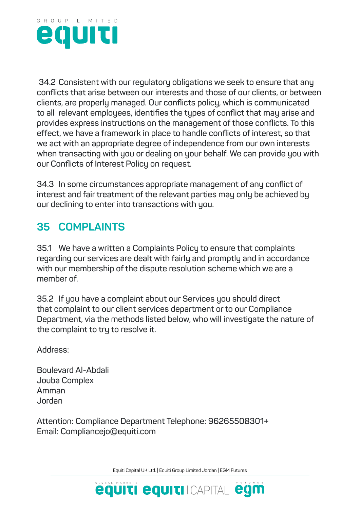

**34.2 Consistent with our regulatory obligations we seek to ensure that any conflicts that arise between our interests and those of our clients, or between clients, are properly managed. Our conflicts policy, which is communicated to all relevant employees, identifies the types of conflict that may arise and provides express instructions on the management of those conflicts. To this effect, we have a framework in place to handle conflicts of interest, so that we act with an appropriate degree of independence from our own interests when transacting with you or dealing on your behalf. We can provide you with our Conflicts of Interest Policy on request.**

**34.3 In some circumstances appropriate management of any conflict of interest and fair treatment of the relevant parties may only be achieved by our declining to enter into transactions with you.**

## **35 COMPLAINTS**

**35.1 We have a written a Complaints Policy to ensure that complaints regarding our services are dealt with fairly and promptly and in accordance with our membership of the dispute resolution scheme which we are a member of.**

**35.2 If you have a complaint about our Services you should direct that complaint to our client services department or to our Compliance Department, via the methods listed below, who will investigate the nature of the complaint to try to resolve it.**

**Address:**

**Boulevard Al-Abdali Jouba Complex Amman Jordan**

**Attention: Compliance Department Telephone: 96265508301+ Email: Compliancejo@equiti.com**

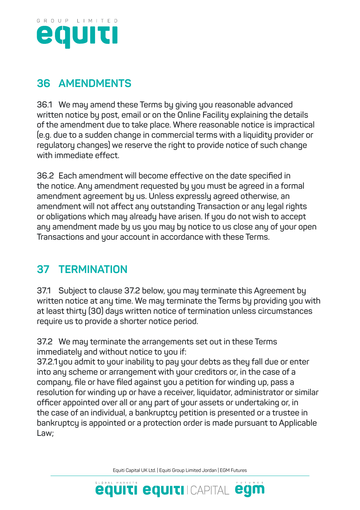

## **36 AMENDMENTS**

**36.1 We may amend these Terms by giving you reasonable advanced written notice by post, email or on the Online Facility explaining the details of the amendment due to take place. Where reasonable notice is impractical (e.g. due to a sudden change in commercial terms with a liquidity provider or regulatory changes) we reserve the right to provide notice of such change with immediate effect.**

**36.2 Each amendment will become effective on the date specified in the notice. Any amendment requested by you must be agreed in a formal amendment agreement by us. Unless expressly agreed otherwise, an amendment will not affect any outstanding Transaction or any legal rights or obligations which may already have arisen. If you do not wish to accept any amendment made by us you may by notice to us close any of your open Transactions and your account in accordance with these Terms.**

## **37 TERMINATION**

**37.1 Subject to clause 37.2 below, you may terminate this Agreement by written notice at any time. We may terminate the Terms by providing you with at least thirty (30) days written notice of termination unless circumstances require us to provide a shorter notice period.**

**37.2 We may terminate the arrangements set out in these Terms immediately and without notice to you if:**

**37.2.1you admit to your inability to pay your debts as they fall due or enter into any scheme or arrangement with your creditors or, in the case of a company, file or have filed against you a petition for winding up, pass a resolution for winding up or have a receiver, liquidator, administrator or similar officer appointed over all or any part of your assets or undertaking or, in the case of an individual, a bankruptcy petition is presented or a trustee in bankruptcy is appointed or a protection order is made pursuant to Applicable Law;**

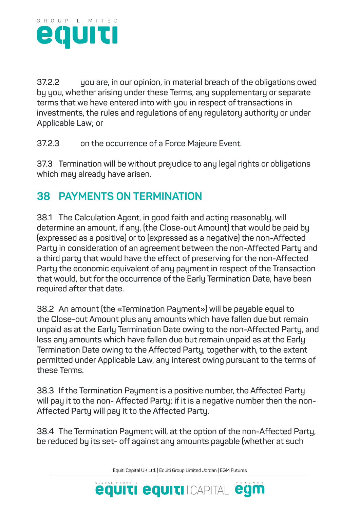

**37.2.2 you are, in our opinion, in material breach of the obligations owed by you, whether arising under these Terms, any supplementary or separate terms that we have entered into with you in respect of transactions in investments, the rules and regulations of any regulatory authority or under Applicable Law; or**

**37.2.3 on the occurrence of a Force Majeure Event.**

**37.3 Termination will be without prejudice to any legal rights or obligations which may already have arisen.**

## **38 PAYMENTS ON TERMINATION**

**38.1 The Calculation Agent, in good faith and acting reasonably, will determine an amount, if any, (the Close-out Amount) that would be paid by (expressed as a positive) or to (expressed as a negative) the non-Affected Party in consideration of an agreement between the non-Affected Party and a third party that would have the effect of preserving for the non-Affected Party the economic equivalent of any payment in respect of the Transaction that would, but for the occurrence of the Early Termination Date, have been required after that date.**

**38.2 An amount (the «Termination Payment») will be payable equal to the Close-out Amount plus any amounts which have fallen due but remain unpaid as at the Early Termination Date owing to the non-Affected Party, and less any amounts which have fallen due but remain unpaid as at the Early Termination Date owing to the Affected Party, together with, to the extent permitted under Applicable Law, any interest owing pursuant to the terms of these Terms.**

**38.3 If the Termination Payment is a positive number, the Affected Party will pay it to the non- Affected Party; if it is a negative number then the non-Affected Party will pay it to the Affected Party.**

**38.4 The Termination Payment will, at the option of the non-Affected Party, be reduced by its set- off against any amounts payable (whether at such** 

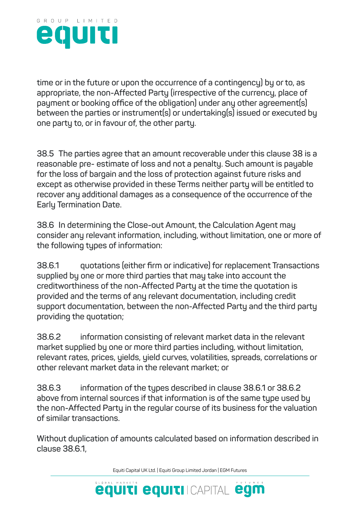

**time or in the future or upon the occurrence of a contingency) by or to, as appropriate, the non-Affected Party (irrespective of the currency, place of payment or booking office of the obligation) under any other agreement(s) between the parties or instrument(s) or undertaking(s) issued or executed by one party to, or in favour of, the other party.**

**38.5 The parties agree that an amount recoverable under this clause 38 is a reasonable pre- estimate of loss and not a penalty. Such amount is payable for the loss of bargain and the loss of protection against future risks and except as otherwise provided in these Terms neither party will be entitled to recover any additional damages as a consequence of the occurrence of the Early Termination Date.**

**38.6 In determining the Close-out Amount, the Calculation Agent may consider any relevant information, including, without limitation, one or more of the following types of information:**

**38.6.1 quotations (either firm or indicative) for replacement Transactions supplied by one or more third parties that may take into account the creditworthiness of the non-Affected Party at the time the quotation is provided and the terms of any relevant documentation, including credit support documentation, between the non-Affected Party and the third party providing the quotation;**

**38.6.2 information consisting of relevant market data in the relevant market supplied by one or more third parties including, without limitation, relevant rates, prices, yields, yield curves, volatilities, spreads, correlations or other relevant market data in the relevant market; or**

**38.6.3 information of the types described in clause 38.6.1 or 38.6.2 above from internal sources if that information is of the same type used by the non-Affected Party in the regular course of its business for the valuation of similar transactions.**

**Without duplication of amounts calculated based on information described in clause 38.6.1,**

Equiti Capital UK Ltd. | Equiti Group Limited Jordan | EGM Futures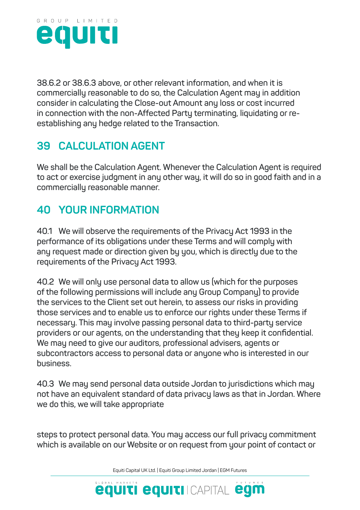

**38.6.2 or 38.6.3 above, or other relevant information, and when it is commercially reasonable to do so, the Calculation Agent may in addition consider in calculating the Close-out Amount any loss or cost incurred in connection with the non-Affected Party terminating, liquidating or reestablishing any hedge related to the Transaction.**

## **39 CALCULATION AGENT**

**We shall be the Calculation Agent. Whenever the Calculation Agent is required to act or exercise judgment in any other way, it will do so in good faith and in a commercially reasonable manner.**

## **40 YOUR INFORMATION**

**40.1 We will observe the requirements of the Privacy Act 1993 in the performance of its obligations under these Terms and will comply with any request made or direction given by you, which is directly due to the requirements of the Privacy Act 1993.**

**40.2 We will only use personal data to allow us (which for the purposes of the following permissions will include any Group Company) to provide the services to the Client set out herein, to assess our risks in providing those services and to enable us to enforce our rights under these Terms if necessary. This may involve passing personal data to third-party service providers or our agents, on the understanding that they keep it confidential. We may need to give our auditors, professional advisers, agents or subcontractors access to personal data or anyone who is interested in our business.**

**40.3 We may send personal data outside Jordan to jurisdictions which may not have an equivalent standard of data privacy laws as that in Jordan. Where we do this, we will take appropriate**

**steps to protect personal data. You may access our full privacy commitment which is available on our Website or on request from your point of contact or** 

Equiti Capital UK Ltd. | Equiti Group Limited Jordan | EGM Futures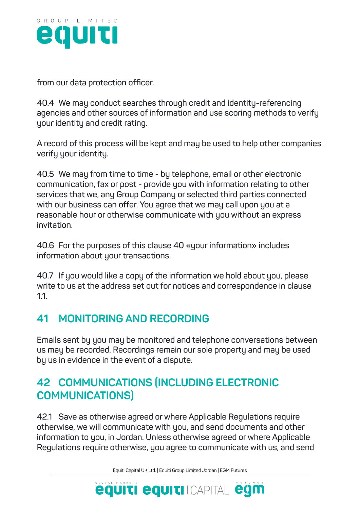

**from our data protection officer.**

**40.4 We may conduct searches through credit and identity-referencing agencies and other sources of information and use scoring methods to verify your identity and credit rating.**

**A record of this process will be kept and may be used to help other companies verify your identity.**

**40.5 We may from time to time - by telephone, email or other electronic communication, fax or post - provide you with information relating to other services that we, any Group Company or selected third parties connected with our business can offer. You agree that we may call upon you at a reasonable hour or otherwise communicate with you without an express invitation.**

**40.6 For the purposes of this clause 40 «your information» includes information about your transactions.**

**40.7 If you would like a copy of the information we hold about you, please write to us at the address set out for notices and correspondence in clause 1.1.**

### **41 MONITORING AND RECORDING**

**Emails sent by you may be monitored and telephone conversations between us may be recorded. Recordings remain our sole property and may be used by us in evidence in the event of a dispute.**

## **42 COMMUNICATIONS (INCLUDING ELECTRONIC COMMUNICATIONS)**

**42.1 Save as otherwise agreed or where Applicable Regulations require otherwise, we will communicate with you, and send documents and other information to you, in Jordan. Unless otherwise agreed or where Applicable Regulations require otherwise, you agree to communicate with us, and send** 

Equiti Capital UK Ltd. | Equiti Group Limited Jordan | EGM Futures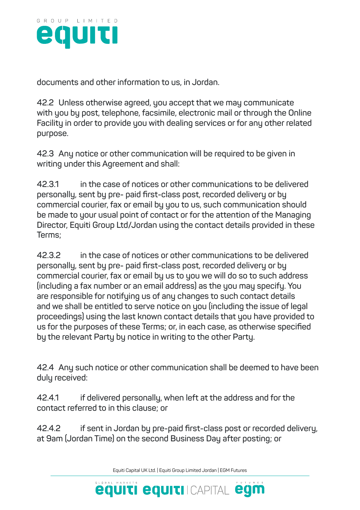

**documents and other information to us, in Jordan.**

**42.2 Unless otherwise agreed, you accept that we may communicate with you by post, telephone, facsimile, electronic mail or through the Online Facility in order to provide you with dealing services or for any other related purpose.**

**42.3 Any notice or other communication will be required to be given in writing under this Agreement and shall:**

**42.3.1 in the case of notices or other communications to be delivered personally, sent by pre- paid first-class post, recorded delivery or by commercial courier, fax or email by you to us, such communication should be made to your usual point of contact or for the attention of the Managing Director, Equiti Group Ltd/Jordan using the contact details provided in these Terms;**

**42.3.2 in the case of notices or other communications to be delivered personally, sent by pre- paid first-class post, recorded delivery or by commercial courier, fax or email by us to you we will do so to such address (including a fax number or an email address) as the you may specify. You are responsible for notifying us of any changes to such contact details and we shall be entitled to serve notice on you (including the issue of legal proceedings) using the last known contact details that you have provided to us for the purposes of these Terms; or, in each case, as otherwise specified by the relevant Party by notice in writing to the other Party.**

**42.4 Any such notice or other communication shall be deemed to have been duly received:**

**42.4.1 if delivered personally, when left at the address and for the contact referred to in this clause; or**

**42.4.2 if sent in Jordan by pre-paid first-class post or recorded delivery, at 9am (Jordan Time) on the second Business Day after posting; or**

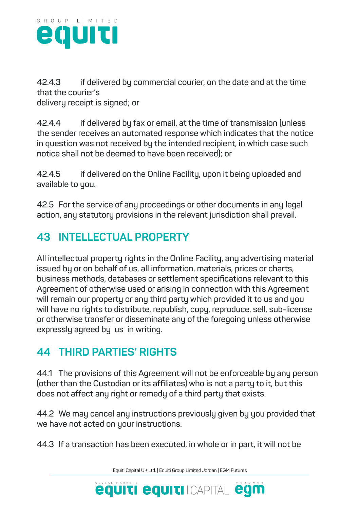

**42.4.3 if delivered by commercial courier, on the date and at the time that the courier's**

**delivery receipt is signed; or**

**42.4.4 if delivered by fax or email, at the time of transmission (unless the sender receives an automated response which indicates that the notice in question was not received by the intended recipient, in which case such notice shall not be deemed to have been received); or**

**42.4.5 if delivered on the Online Facility, upon it being uploaded and available to you.**

**42.5 For the service of any proceedings or other documents in any legal action, any statutory provisions in the relevant jurisdiction shall prevail.**

## **43 INTELLECTUAL PROPERTY**

**All intellectual property rights in the Online Facility, any advertising material issued by or on behalf of us, all information, materials, prices or charts, business methods, databases or settlement specifications relevant to this Agreement of otherwise used or arising in connection with this Agreement will remain our property or any third party which provided it to us and you will have no rights to distribute, republish, copy, reproduce, sell, sub-license or otherwise transfer or disseminate any of the foregoing unless otherwise expressly agreed by us in writing.**

### **44 THIRD PARTIES' RIGHTS**

**44.1 The provisions of this Agreement will not be enforceable by any person (other than the Custodian or its affiliates) who is not a party to it, but this does not affect any right or remedy of a third party that exists.**

**44.2 We may cancel any instructions previously given by you provided that we have not acted on your instructions.**

**44.3 If a transaction has been executed, in whole or in part, it will not be** 

Equiti Capital UK Ltd. | Equiti Group Limited Jordan | EGM Futures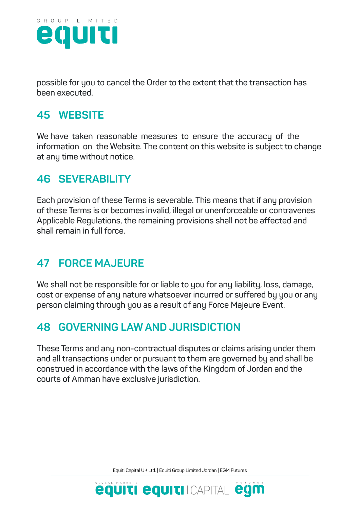

**possible for you to cancel the Order to the extent that the transaction has been executed.**

## **45 WEBSITE**

**We have taken reasonable measures to ensure the accuracy of the information on the Website. The content on this website is subject to change at any time without notice.**

#### **46 SEVERABILITY**

**Each provision of these Terms is severable. This means that if any provision of these Terms is or becomes invalid, illegal or unenforceable or contravenes Applicable Regulations, the remaining provisions shall not be affected and shall remain in full force.**

### **47 FORCE MAJEURE**

**We shall not be responsible for or liable to you for any liability, loss, damage, cost or expense of any nature whatsoever incurred or suffered by you or any person claiming through you as a result of any Force Majeure Event.**

## **48 GOVERNING LAW AND JURISDICTION**

**These Terms and any non-contractual disputes or claims arising under them and all transactions under or pursuant to them are governed by and shall be construed in accordance with the laws of the Kingdom of Jordan and the courts of Amman have exclusive jurisdiction.**

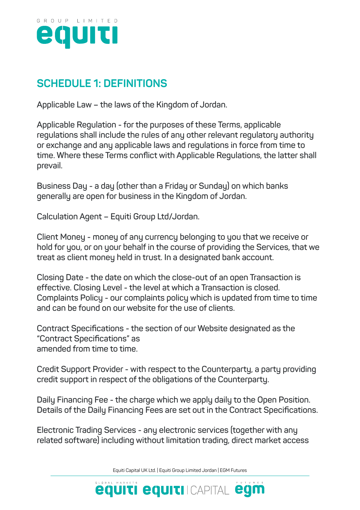

## **SCHEDULE 1: DEFINITIONS**

**Applicable Law – the laws of the Kingdom of Jordan.**

**Applicable Regulation - for the purposes of these Terms, applicable regulations shall include the rules of any other relevant regulatory authority or exchange and any applicable laws and regulations in force from time to time. Where these Terms conflict with Applicable Regulations, the latter shall prevail.**

**Business Day - a day (other than a Friday or Sunday) on which banks generally are open for business in the Kingdom of Jordan.**

**Calculation Agent – Equiti Group Ltd/Jordan.**

**Client Money - money of any currency belonging to you that we receive or hold for you, or on your behalf in the course of providing the Services, that we treat as client money held in trust. In a designated bank account.**

**Closing Date - the date on which the close-out of an open Transaction is effective. Closing Level - the level at which a Transaction is closed. Complaints Policy - our complaints policy which is updated from time to time and can be found on our website for the use of clients.**

**Contract Specifications - the section of our Website designated as the "Contract Specifications" as amended from time to time.**

**Credit Support Provider - with respect to the Counterparty, a party providing credit support in respect of the obligations of the Counterparty.**

**Daily Financing Fee - the charge which we apply daily to the Open Position. Details of the Daily Financing Fees are set out in the Contract Specifications.**

**Electronic Trading Services - any electronic services (together with any related software) including without limitation trading, direct market access** 

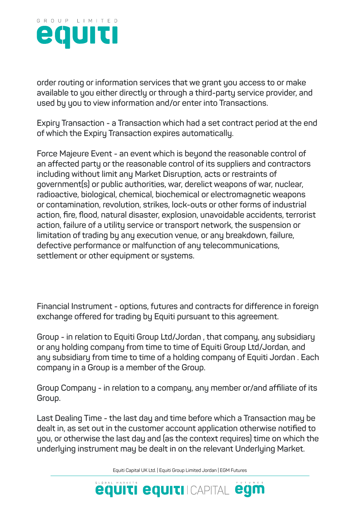

**order routing or information services that we grant you access to or make available to you either directly or through a third-party service provider, and used by you to view information and/or enter into Transactions.**

**Expiry Transaction - a Transaction which had a set contract period at the end of which the Expiry Transaction expires automatically.**

**Force Majeure Event - an event which is beyond the reasonable control of an affected party or the reasonable control of its suppliers and contractors including without limit any Market Disruption, acts or restraints of government(s) or public authorities, war, derelict weapons of war, nuclear, radioactive, biological, chemical, biochemical or electromagnetic weapons or contamination, revolution, strikes, lock-outs or other forms of industrial action, fire, flood, natural disaster, explosion, unavoidable accidents, terrorist action, failure of a utility service or transport network, the suspension or limitation of trading by any execution venue, or any breakdown, failure, defective performance or malfunction of any telecommunications, settlement or other equipment or systems.**

**Financial Instrument - options, futures and contracts for difference in foreign exchange offered for trading by Equiti pursuant to this agreement.**

**Group - in relation to Equiti Group Ltd/Jordan , that company, any subsidiary or any holding company from time to time of Equiti Group Ltd/Jordan, and any subsidiary from time to time of a holding company of Equiti Jordan . Each company in a Group is a member of the Group.**

**Group Company - in relation to a company, any member or/and affiliate of its Group.**

**Last Dealing Time - the last day and time before which a Transaction may be dealt in, as set out in the customer account application otherwise notified to you, or otherwise the last day and (as the context requires) time on which the underlying instrument may be dealt in on the relevant Underlying Market.**

Equiti Capital UK Ltd. | Equiti Group Limited Jordan | EGM Futures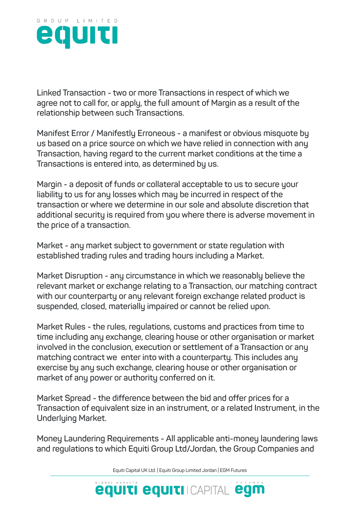

**Linked Transaction - two or more Transactions in respect of which we agree not to call for, or apply, the full amount of Margin as a result of the relationship between such Transactions.**

**Manifest Error / Manifestly Erroneous - a manifest or obvious misquote by us based on a price source on which we have relied in connection with any Transaction, having regard to the current market conditions at the time a Transactions is entered into, as determined by us.**

**Margin - a deposit of funds or collateral acceptable to us to secure your liability to us for any losses which may be incurred in respect of the transaction or where we determine in our sole and absolute discretion that additional security is required from you where there is adverse movement in the price of a transaction.**

**Market - any market subject to government or state regulation with established trading rules and trading hours including a Market.**

**Market Disruption - any circumstance in which we reasonably believe the relevant market or exchange relating to a Transaction, our matching contract with our counterparty or any relevant foreign exchange related product is suspended, closed, materially impaired or cannot be relied upon.**

**Market Rules - the rules, regulations, customs and practices from time to time including any exchange, clearing house or other organisation or market involved in the conclusion, execution or settlement of a Transaction or any matching contract we enter into with a counterparty. This includes any exercise by any such exchange, clearing house or other organisation or market of any power or authority conferred on it.**

**Market Spread - the difference between the bid and offer prices for a Transaction of equivalent size in an instrument, or a related Instrument, in the Underlying Market.**

**Money Laundering Requirements - All applicable anti-money laundering laws and regulations to which Equiti Group Ltd/Jordan, the Group Companies and** 

Equiti Capital UK Ltd. | Equiti Group Limited Jordan | EGM Futures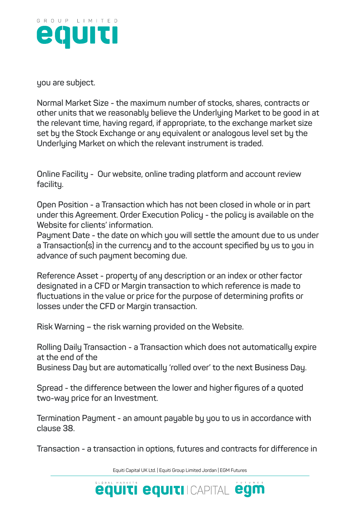

**you are subject.**

**Normal Market Size - the maximum number of stocks, shares, contracts or other units that we reasonably believe the Underlying Market to be good in at the relevant time, having regard, if appropriate, to the exchange market size set by the Stock Exchange or any equivalent or analogous level set by the Underlying Market on which the relevant instrument is traded.**

**Online Facility - Our website, online trading platform and account review facility.**

**Open Position - a Transaction which has not been closed in whole or in part under this Agreement. Order Execution Policy - the policy is available on the Website for clients' information.**

**Payment Date - the date on which you will settle the amount due to us under a Transaction(s) in the currency and to the account specified by us to you in advance of such payment becoming due.**

**Reference Asset - property of any description or an index or other factor designated in a CFD or Margin transaction to which reference is made to fluctuations in the value or price for the purpose of determining profits or losses under the CFD or Margin transaction.**

**Risk Warning – the risk warning provided on the Website.**

**Rolling Daily Transaction - a Transaction which does not automatically expire at the end of the**

**Business Day but are automatically 'rolled over' to the next Business Day.**

**Spread - the difference between the lower and higher figures of a quoted two-way price for an Investment.**

**Termination Payment - an amount payable by you to us in accordance with clause 38.**

**Transaction - a transaction in options, futures and contracts for difference in** 

Equiti Capital UK Ltd. | Equiti Group Limited Jordan | EGM Futures